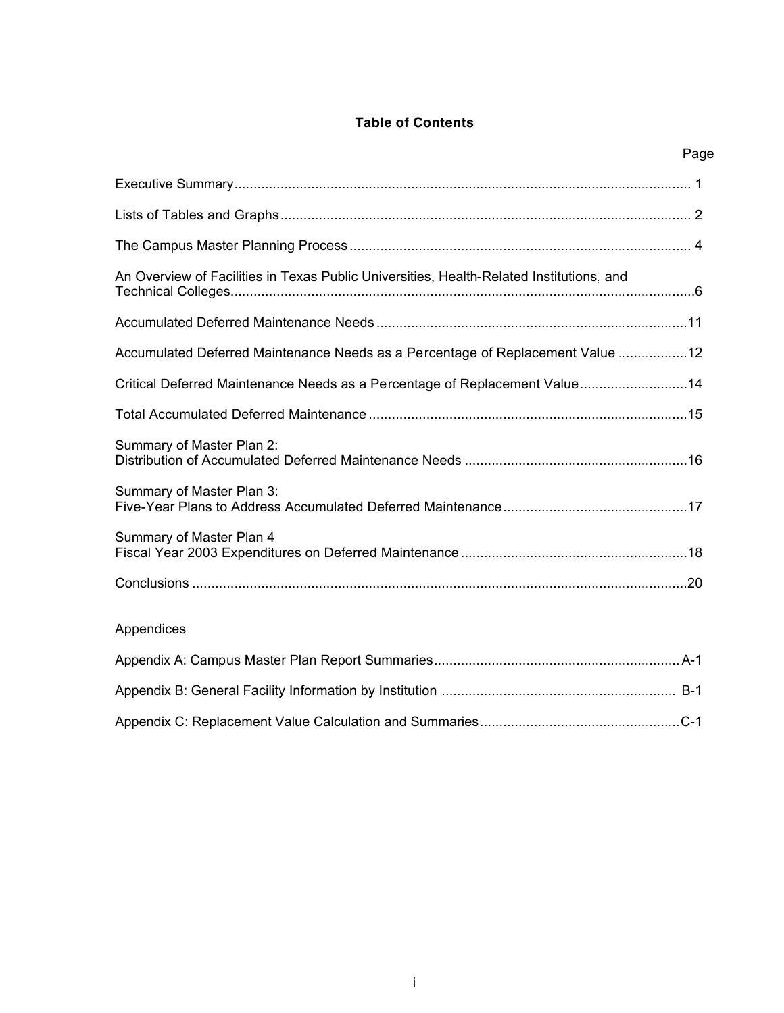## **Table of Contents**

| Page                                                                                     |  |
|------------------------------------------------------------------------------------------|--|
|                                                                                          |  |
|                                                                                          |  |
|                                                                                          |  |
| An Overview of Facilities in Texas Public Universities, Health-Related Institutions, and |  |
|                                                                                          |  |
| Accumulated Deferred Maintenance Needs as a Percentage of Replacement Value 12           |  |
| Critical Deferred Maintenance Needs as a Percentage of Replacement Value14               |  |
|                                                                                          |  |
| Summary of Master Plan 2:                                                                |  |
| Summary of Master Plan 3:                                                                |  |
| Summary of Master Plan 4                                                                 |  |
|                                                                                          |  |
| Appendices                                                                               |  |
|                                                                                          |  |
|                                                                                          |  |
|                                                                                          |  |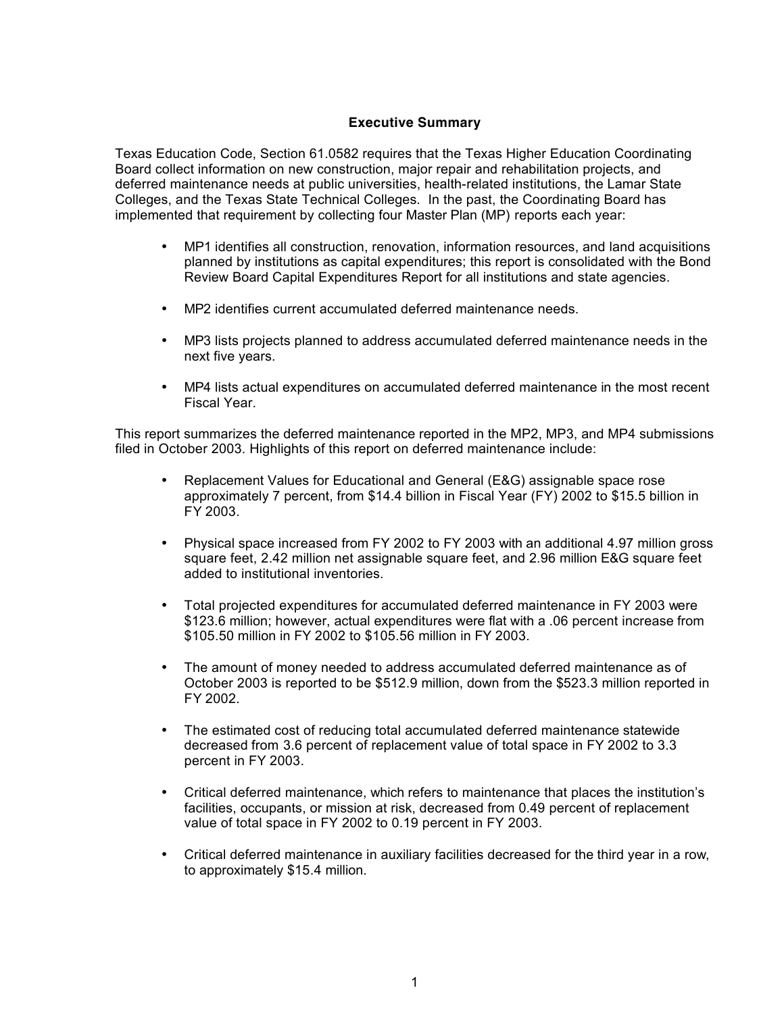## **Executive Summary**

Texas Education Code, Section 61.0582 requires that the Texas Higher Education Coordinating Board collect information on new construction, major repair and rehabilitation projects, and deferred maintenance needs at public universities, health-related institutions, the Lamar State Colleges, and the Texas State Technical Colleges. In the past, the Coordinating Board has implemented that requirement by collecting four Master Plan (MP) reports each year:

- MP1 identifies all construction, renovation, information resources, and land acquisitions planned by institutions as capital expenditures; this report is consolidated with the Bond Review Board Capital Expenditures Report for all institutions and state agencies.
- MP2 identifies current accumulated deferred maintenance needs.
- MP3 lists projects planned to address accumulated deferred maintenance needs in the next five years.
- MP4 lists actual expenditures on accumulated deferred maintenance in the most recent Fiscal Year.

This report summarizes the deferred maintenance reported in the MP2, MP3, and MP4 submissions filed in October 2003. Highlights of this report on deferred maintenance include:

- Replacement Values for Educational and General (E&G) assignable space rose approximately 7 percent, from \$14.4 billion in Fiscal Year (FY) 2002 to \$15.5 billion in FY 2003.
- Physical space increased from FY 2002 to FY 2003 with an additional 4.97 million gross square feet, 2.42 million net assignable square feet, and 2.96 million E&G square feet added to institutional inventories.
- Total projected expenditures for accumulated deferred maintenance in FY 2003 were \$123.6 million; however, actual expenditures were flat with a .06 percent increase from \$105.50 million in FY 2002 to \$105.56 million in FY 2003.
- The amount of money needed to address accumulated deferred maintenance as of October 2003 is reported to be \$512.9 million, down from the \$523.3 million reported in FY 2002.
- The estimated cost of reducing total accumulated deferred maintenance statewide decreased from 3.6 percent of replacement value of total space in FY 2002 to 3.3 percent in FY 2003.
- Critical deferred maintenance, which refers to maintenance that places the institution's facilities, occupants, or mission at risk, decreased from 0.49 percent of replacement value of total space in FY 2002 to 0.19 percent in FY 2003.
- Critical deferred maintenance in auxiliary facilities decreased for the third year in a row, to approximately \$15.4 million.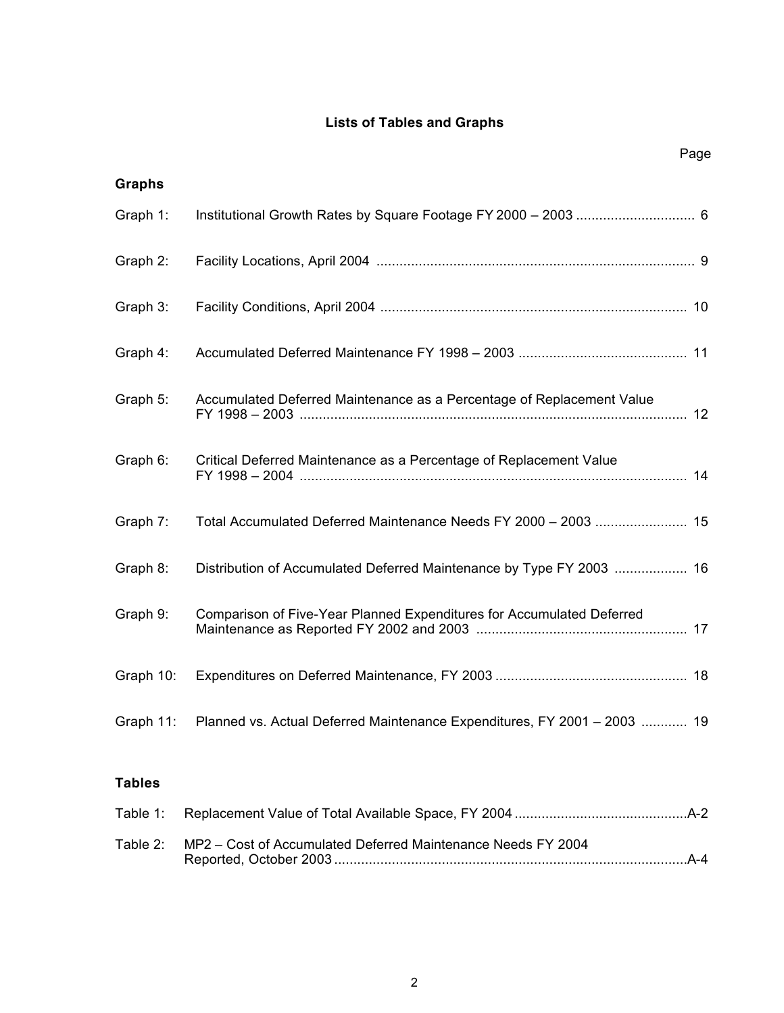# **Lists of Tables and Graphs**

Page

| <b>Graphs</b> |                                                                          |  |
|---------------|--------------------------------------------------------------------------|--|
| Graph 1:      |                                                                          |  |
| Graph 2:      |                                                                          |  |
| Graph 3:      |                                                                          |  |
| Graph 4:      |                                                                          |  |
| Graph 5:      | Accumulated Deferred Maintenance as a Percentage of Replacement Value    |  |
| Graph 6:      | Critical Deferred Maintenance as a Percentage of Replacement Value       |  |
| Graph 7:      | Total Accumulated Deferred Maintenance Needs FY 2000 - 2003  15          |  |
| Graph 8:      | Distribution of Accumulated Deferred Maintenance by Type FY 2003  16     |  |
| Graph 9:      | Comparison of Five-Year Planned Expenditures for Accumulated Deferred    |  |
| Graph 10:     |                                                                          |  |
| Graph 11:     | Planned vs. Actual Deferred Maintenance Expenditures, FY 2001 - 2003  19 |  |
| <b>Tables</b> |                                                                          |  |

| Table 2: MP2 – Cost of Accumulated Deferred Maintenance Needs FY 2004 |  |
|-----------------------------------------------------------------------|--|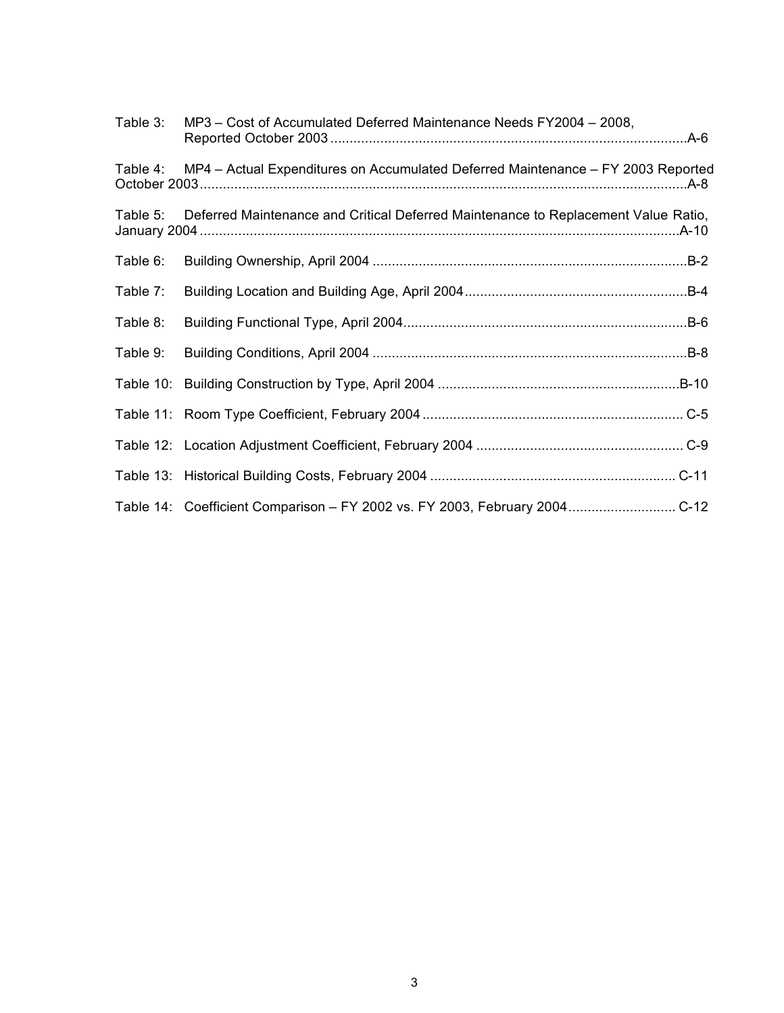| Table 3: | MP3 – Cost of Accumulated Deferred Maintenance Needs FY2004 – 2008,                |
|----------|------------------------------------------------------------------------------------|
| Table 4: | MP4 - Actual Expenditures on Accumulated Deferred Maintenance - FY 2003 Reported   |
| Table 5: | Deferred Maintenance and Critical Deferred Maintenance to Replacement Value Ratio, |
| Table 6: |                                                                                    |
| Table 7: |                                                                                    |
| Table 8: |                                                                                    |
| Table 9: |                                                                                    |
|          |                                                                                    |
|          |                                                                                    |
|          |                                                                                    |
|          |                                                                                    |
|          | Table 14: Coefficient Comparison - FY 2002 vs. FY 2003, February 2004 C-12         |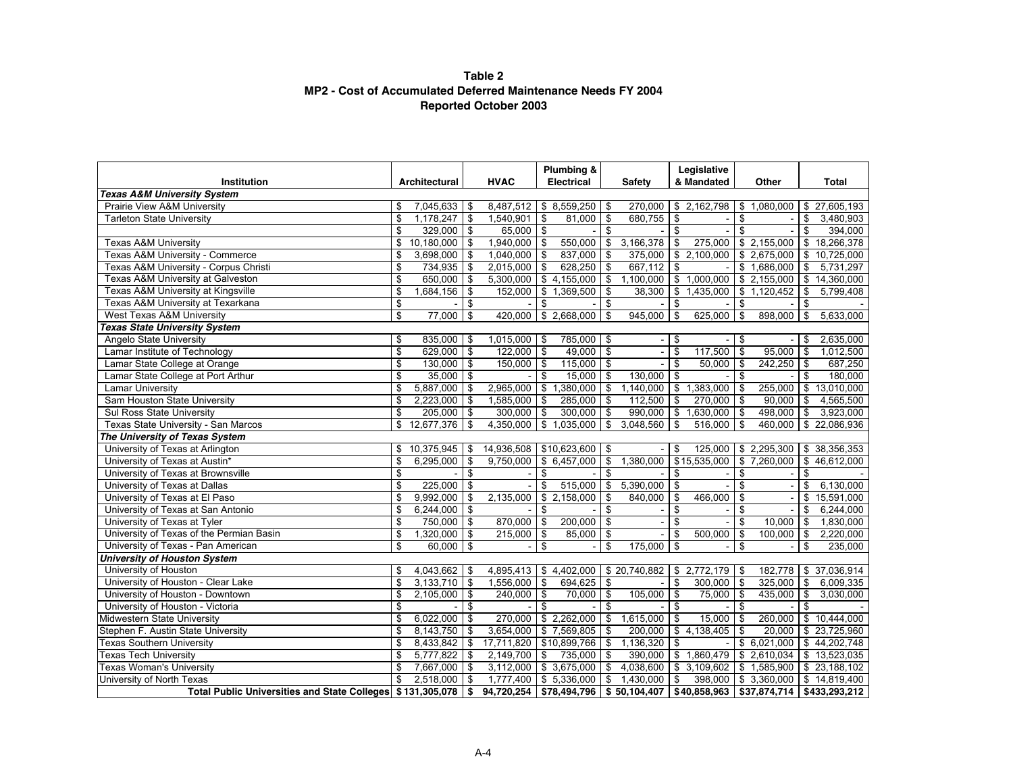#### **Table 2 MP2 - Cost of Accumulated Deferred Maintenance Needs FY 2004 Reported October 2003**

|                                                            |                       |              |             | Plumbing &           |                          |                                                                   |                         | Legislative      |                |                         |                  |
|------------------------------------------------------------|-----------------------|--------------|-------------|----------------------|--------------------------|-------------------------------------------------------------------|-------------------------|------------------|----------------|-------------------------|------------------|
| Institution                                                | Architectural         |              | <b>HVAC</b> | Electrical           |                          | <b>Safety</b>                                                     |                         | & Mandated       |                | Other                   | Total            |
| <b>Texas A&amp;M University System</b>                     |                       |              |             |                      |                          | 270.000                                                           |                         |                  |                |                         |                  |
| Prairie View A&M University                                | \$<br>$7,045,633$ \$  |              | 8,487,512   | \$8,559,250          | l \$                     |                                                                   |                         | \$2,162,798      | \$             | 1,080,000               | \$27,605,193     |
| <b>Tarleton State University</b>                           | \$<br>1,178,247       | -\$          | 1,540,901   | \$<br>81,000         | \$                       | 680,755                                                           | \$                      |                  | \$             |                         | \$<br>3,480,903  |
|                                                            | \$<br>329,000         | -\$          | 65,000      | \$                   | \$                       |                                                                   | \$                      |                  | $\mathfrak{s}$ |                         | \$<br>394,000    |
| <b>Texas A&amp;M University</b>                            | \$<br>$10,180,000$ \$ |              | 1,940,000   | \$<br>550,000        | \$                       | 3,166,378                                                         | \$                      | 275,000          |                | $\sqrt{$}$ 2,155,000    | \$18,266,378     |
| Texas A&M University - Commerce                            | \$<br>3,698,000       | -\$          | 1,040,000   | \$<br>837,000        | \$                       | 375,000                                                           |                         | \$2,100,000      |                | \$ 2,675,000            | \$<br>10,725,000 |
| Texas A&M University - Corpus Christi                      | \$<br>734,935         | \$           | 2,015,000   | \$<br>$628,250$ \$   |                          | 667,112                                                           | $\mathfrak s$           |                  |                | \$1,686,000             | \$<br>5,731,297  |
| Texas A&M University at Galveston                          | \$<br>650,000         | \$           | 5,300,000   | $$4,155,000$ \ \$    |                          | 1,100,000                                                         |                         | \$1,000,000      |                | \$2,155,000             | \$<br>14,360,000 |
| Texas A&M University at Kingsville                         | \$<br>1,684,156       | \$           | 152,000     | \$<br>1,369,500      | \$                       | 38,300                                                            | \$                      | 1,435,000        |                | \$1,120,452             | \$<br>5,799,408  |
| Texas A&M University at Texarkana                          | \$                    | \$           |             | \$                   | \$                       |                                                                   | \$                      |                  | \$             |                         | \$               |
| West Texas A&M University                                  | \$<br>77,000          | \$           | 420,000     | \$2,668,000          | \$                       | 945,000                                                           | $\mathfrak s$           | 625,000          | \$             | 898,000                 | \$<br>5,633,000  |
| <b>Texas State University System</b>                       |                       |              |             |                      |                          |                                                                   |                         |                  |                |                         |                  |
| Angelo State University                                    | \$<br>835,000 \$      |              | 1,015,000   | \$<br>785,000 \$     |                          |                                                                   | \$                      |                  | \$             |                         | \$<br>2,635,000  |
| Lamar Institute of Technology                              | \$<br>629,000         | -\$          | 122,000     | \$<br>$49,000$ \$    |                          |                                                                   | $\overline{\$}$         | 117,500          | \$             | 95,000                  | \$<br>1,012,500  |
| Lamar State College at Orange                              | \$<br>130,000         | \$           | 150,000     | \$<br>115,000 \$     |                          |                                                                   | \$                      | 50.000           | \$             | 242,250                 | \$<br>687.250    |
| Lamar State College at Port Arthur                         | \$<br>35,000          | \$           |             | \$<br>$15,000$ \ \$  |                          | $130,000$ \$                                                      |                         |                  | \$             |                         | \$<br>180,000    |
| <b>Lamar University</b>                                    | \$<br>5,887,000       | \$           | 2,965,000   | \$<br>$1,380,000$ \$ |                          | 1,140,000                                                         | $\bullet$               | 1,383,000        | ٦\$            | 255,000                 | \$<br>13,010,000 |
| Sam Houston State University                               | \$<br>2,223,000       | l \$         | 1,585,000   | \$<br>$285,000$ \$   |                          | 112,500                                                           | \$                      | $270,000$ \$     |                | 90.000                  | \$<br>4,565,500  |
| Sul Ross State University                                  | \$<br>205,000         | -\$          | 300,000     | \$<br>300,000        | \$                       | 990,000                                                           | $\mathbb S$             | 1,630,000        | <b>1 \$</b>    | 498,000                 | \$<br>3,923,000  |
| Texas State University - San Marcos                        | \$<br>12,677,376      | \$           | 4,350,000   | \$1,035,000          | \$                       | 3,048,560                                                         | \$                      | 516,000          | \$             | 460,000                 | \$22,086,936     |
| The University of Texas System                             |                       |              |             |                      |                          |                                                                   |                         |                  |                |                         |                  |
| University of Texas at Arlington                           | \$<br>10,375,945      | \$           | 14,936,508  | $$10,623,600$ \ \$   |                          |                                                                   | \$                      | 125,000          |                | \$2,295,300             | \$38,356,353     |
| University of Texas at Austin*                             | \$<br>6,295,000       | \$           | 9,750,000   | \$6,457,000          | \$                       | 1,380,000                                                         |                         | \$15,535,000     |                | \$7,260,000             | \$<br>46,612,000 |
| University of Texas at Brownsville                         | \$                    | \$           |             | \$                   | $\overline{\mathcal{S}}$ |                                                                   | \$                      |                  | \$             |                         | \$               |
| University of Texas at Dallas                              | \$<br>225,000         | -\$          |             | \$<br>515,000        | \$                       | 5,390,000                                                         | \$                      |                  | \$             |                         | \$<br>6,130,000  |
| University of Texas at El Paso                             | \$<br>9,992,000       | \$           | 2,135,000   | \$2,158,000          | \$                       | 840,000                                                           | \$                      | 466,000          | \$             |                         | \$<br>15,591,000 |
| University of Texas at San Antonio                         | \$<br>6,244,000       | -\$          |             | \$                   | $\overline{\mathbf{s}}$  |                                                                   | $\overline{\mathbf{s}}$ |                  | \$             |                         | \$<br>6,244,000  |
| University of Texas at Tyler                               | \$<br>$750,000$ \$    |              | 870,000     | \$<br>200.000        | \$                       | $\blacksquare$                                                    | \$                      |                  | \$             | 10.000                  | \$<br>1,830,000  |
| University of Texas of the Permian Basin                   | \$<br>1,320,000       | - \$         | 215,000     | \$<br>85,000         | \$                       |                                                                   | \$                      | 500,000          | \$             | 100,000                 | \$<br>2,220,000  |
| University of Texas - Pan American                         | \$<br>60,000          | \$           |             | \$                   | \$                       | 175,000                                                           | $\mathbf S$             |                  | \$             |                         | \$<br>235,000    |
| <b>University of Houston System</b>                        |                       |              |             |                      |                          |                                                                   |                         |                  |                |                         |                  |
| University of Houston                                      | \$<br>$4,043,662$ \$  |              | 4,895,413   |                      |                          | $$4,402,000$ $$20,740,882$                                        |                         | $$2,772,179$ \\$ |                | 182,778                 | \$37,036,914     |
| University of Houston - Clear Lake                         | \$<br>3,133,710       | \$           | 1,556,000   | \$<br>694,625        | \$                       |                                                                   | \$                      | $300,000$ \$     |                | 325,000                 | \$<br>6,009,335  |
| University of Houston - Downtown                           | \$<br>2,105,000       | \$           | 240,000     | \$<br>$70,000$ \ \$  |                          | 105,000                                                           | \$                      | $75,000$ \$      |                | 435,000                 | \$<br>3,030,000  |
| University of Houston - Victoria                           | \$                    | \$           |             | \$                   | \$                       |                                                                   | \$                      |                  | \$             |                         | \$               |
| Midwestern State University                                | \$<br>6,022,000       | \$           | 270,000     | \$2,262,000          | $\sqrt{3}$               | 1,615,000                                                         | \$                      | $15,000$ \$      |                | 260,000                 | \$10,444,000     |
| Stephen F. Austin State University                         | \$<br>8,143,750       | \$           | 3,654,000   | \$7,569,805          | \$                       | 200,000                                                           |                         | $$4,138,405$ \\$ |                | 20,000                  | \$23,725,960     |
| <b>Texas Southern University</b>                           | \$<br>8,433,842       | \$           | 17,711,820  | $$10,899,766$ \\$    |                          | 1,136,320                                                         | \$                      |                  |                | \$6,021,000             | \$44,202,748     |
| <b>Texas Tech University</b>                               | \$<br>5,777,822       | \$           | 2,149,700   | \$<br>735,000        | \$                       | 390,000                                                           |                         | \$1,860,479      |                | \$2,610,034             | \$13,523,035     |
| <b>Texas Woman's University</b>                            | \$<br>7,667,000       | \$           | 3,112,000   | \$3,675,000          | $\bullet$                | 4,038,600                                                         |                         | \$3,109,602      |                | $\frac{1}{2}$ 1,585,900 | \$23,188,102     |
| University of North Texas                                  | \$<br>2,518,000       | -\$          | 1,777,400   | \$5,336,000          | <b>\$</b>                | 1,430,000                                                         | \$                      | 398,000          |                | \$3,360,000             | \$14,819,400     |
| Total Public Universities and State Colleges \$131,305,078 |                       | $\mathbf{s}$ | 94,720,254  |                      |                          | $\vert$ \$78,494,796   \$50,104,407   \$40,858,963   \$37,874,714 |                         |                  |                |                         | \$433,293,212    |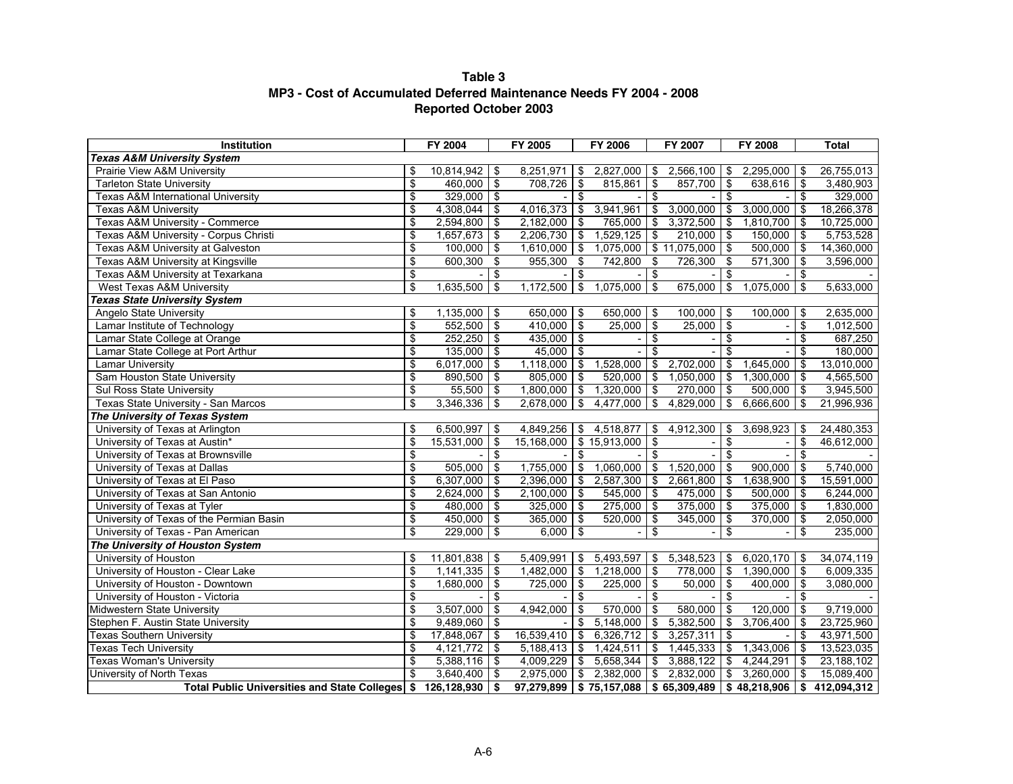## **Table 3 MP3 - Cost of Accumulated Deferred Maintenance Needs FY 2004 - 2008 Reported October 2003**

| Institution                                                    | FY 2004               |                                        | FY 2005         |                         | FY 2006                       |                         | FY 2007                      |                                        | FY 2008                                                        |      | <b>Total</b> |
|----------------------------------------------------------------|-----------------------|----------------------------------------|-----------------|-------------------------|-------------------------------|-------------------------|------------------------------|----------------------------------------|----------------------------------------------------------------|------|--------------|
| <b>Texas A&amp;M University System</b>                         |                       |                                        |                 |                         |                               |                         |                              |                                        |                                                                |      |              |
| Prairie View A&M University                                    | \$<br>$10,814,942$ \$ |                                        | 8,251,971       | $\sqrt{3}$              | $2,827,000$ \$                |                         | $2,566,100$ \$               |                                        | $2,295,000$ \$                                                 |      | 26,755,013   |
| <b>Tarleton State University</b>                               | \$<br>$460,000$ \$    |                                        | 708,726         | \$                      | 815,861                       | \$                      | 857,700 \$                   |                                        | $638,616$ \$                                                   |      | 3,480,903    |
| <b>Texas A&amp;M International University</b>                  | \$<br>$329,000$ \$    |                                        |                 | $\sqrt[6]{\frac{1}{2}}$ |                               | $\overline{\$}$         |                              | \$                                     |                                                                | \$   | 329,000      |
| <b>Texas A&amp;M University</b>                                | \$<br>$4,308,044$ \\$ |                                        | $4,016,373$ \$  |                         | 3,941,961                     | \$                      | $3,000,000$ \$               |                                        | $3,000,000$ \$                                                 |      | 18,266,378   |
| Texas A&M University - Commerce                                | \$<br>$2,594,800$ \$  |                                        | $2,182,000$ \$  |                         | $765,000$ \$                  |                         | $3,372,500$ \$               |                                        | $1,810,700$ \$                                                 |      | 10,725,000   |
| Texas A&M University - Corpus Christi                          | \$<br>$1,657,673$ \$  |                                        | $2,206,730$ \$  |                         | $1,529,125$ \$                |                         | $210,000$ \$                 |                                        | $150,000$ \$                                                   |      | 5,753,528    |
| Texas A&M University at Galveston                              | \$<br>100,000         | ∣\$                                    | $1,610,000$ \$  |                         |                               |                         | $1,075,000$ \$ 11,075,000 \$ |                                        | $500,000$ \$                                                   |      | 14,360,000   |
| <b>Texas A&amp;M University at Kingsville</b>                  | \$<br>$600,300$ \$    |                                        | $955,300$ \$    |                         | 742,800                       | $\sqrt{3}$              | $726,300$ \$                 |                                        | $571,300$ \$                                                   |      | 3,596,000    |
| Texas A&M University at Texarkana                              | \$                    | \$                                     |                 | $\sqrt[6]{\frac{1}{2}}$ |                               | $\bullet$               |                              | \$                                     |                                                                | \$   |              |
| West Texas A&M University                                      | \$<br>1,635,500       | $\overline{\mathbf{e}}$                | 1,172,500       | $\sqrt{3}$              | $1,075,000$ \$                |                         | $675,000$ \$                 |                                        | $1,075,000$ \$                                                 |      | 5,633,000    |
| <b>Texas State University System</b>                           |                       |                                        |                 |                         |                               |                         |                              |                                        |                                                                |      |              |
| Angelo State University                                        | \$<br>$1,135,000$ \$  |                                        | $650,000$ \$    |                         | 650,000 \$                    |                         | $100,000$ \$                 |                                        | $100,000$ \$                                                   |      | 2,635,000    |
| Lamar Institute of Technology                                  | \$<br>$552,500$ \$    |                                        | $410,000$ \$    |                         | $25,000$ \$                   |                         | $25,000$ \$                  |                                        |                                                                | \$   | 1,012,500    |
| Lamar State College at Orange                                  | \$<br>$252,250$ \$    |                                        | $435,000$ \$    |                         |                               | $\overline{\mathbf{e}}$ |                              | \$                                     |                                                                | \$   | 687,250      |
| Lamar State College at Port Arthur                             | \$<br>$135,000$ \$    |                                        | $45,000$ \$     |                         |                               | $\overline{\mathbf{s}}$ |                              | $\overline{\mathbf{s}}$                |                                                                | \$   | 180,000      |
| <b>Lamar University</b>                                        | \$<br>$6,017,000$ \$  |                                        | $1,118,000$ \$  |                         | 1,528,000                     | $\sqrt{3}$              | $2,702,000$ \$               |                                        | 1.645.000                                                      | - \$ | 13,010,000   |
| Sam Houston State University                                   | \$<br>$890,500$ \$    |                                        | $805,000$ \$    |                         | $520,000$ \$                  |                         | $1,050,000$ \$               |                                        | $1.300.000$   \$                                               |      | 4,565,500    |
| Sul Ross State University                                      | \$<br>$55,500$ \ \$   |                                        | $1,800,000$ \$  |                         | $1,320,000$ \$                |                         | $270,000$ \$                 |                                        | $500,000$ \$                                                   |      | 3,945,500    |
| Texas State University - San Marcos                            | \$<br>3,346,336       | \$                                     | 2,678,000       | $\overline{\mathbf{S}}$ | $4,477,000$ \$                |                         | $4,829,000$ \$               |                                        | $6,666,600$ \$                                                 |      | 21,996,936   |
| The University of Texas System                                 |                       |                                        |                 |                         |                               |                         |                              |                                        |                                                                |      |              |
| University of Texas at Arlington                               | \$<br>$6,500,997$ \$  |                                        | $4,849,256$ \$  |                         | $4,518,877$ \$                |                         | $4,912,300$ \$               |                                        | $3,698,923$ \$                                                 |      | 24,480,353   |
| University of Texas at Austin*                                 | \$<br>15,531,000      | $\overline{\boldsymbol{\mathfrak{s}}}$ |                 |                         | $15,168,000$ \$ 15,913,000 \$ |                         |                              | $\overline{\boldsymbol{\mathfrak{s}}}$ |                                                                | \$   | 46,612,000   |
| University of Texas at Brownsville                             | \$                    | \$                                     |                 | \$                      |                               | $\overline{\mathbf{s}}$ |                              | $\overline{\mathbf{s}}$                |                                                                | \$   |              |
| University of Texas at Dallas                                  | \$<br>505,000         | \$                                     | 1,755,000       | $\sqrt{3}$              | $1,060,000$ \$                |                         | $1,520,000$ \$               |                                        | $900,000$ \$                                                   |      | 5,740,000    |
| University of Texas at El Paso                                 | \$<br>$6,307,000$ \$  |                                        | $2,396,000$ \$  |                         | $2,587,300$ \$                |                         | $2,661,800$ \$               |                                        | $1,638,900$ \$                                                 |      | 15,591,000   |
| University of Texas at San Antonio                             | \$<br>2,624,000       | \$                                     | $2,100,000$ \$  |                         | $545,000$ \$                  |                         | $475,000$ \$                 |                                        | $500,000$ \$                                                   |      | 6,244,000    |
| University of Texas at Tyler                                   | \$<br>$480,000$ \$    |                                        | 325,000 \$      |                         | 275,000 \$                    |                         | $375,000$ \$                 |                                        | $375,000$ \$                                                   |      | 1,830,000    |
| University of Texas of the Permian Basin                       | \$<br>$450,000$ \$    |                                        | $365,000$ \$    |                         | $520,000$ \$                  |                         | $345,000$ \$                 |                                        | $370,000$ \$                                                   |      | 2,050,000    |
| University of Texas - Pan American                             | \$<br>$229,000$ \$    |                                        | $6,000$ \$      |                         |                               | \$                      |                              | \$                                     |                                                                | \$   | 235,000      |
| The University of Houston System                               |                       |                                        |                 |                         |                               |                         |                              |                                        |                                                                |      |              |
| University of Houston                                          | \$<br>$11,801,838$ \$ |                                        | 5,409,991       | \$                      | 5,493,597                     | \$                      | 5,348,523                    | l \$                                   | 6,020,170                                                      | l \$ | 34,074,119   |
| University of Houston - Clear Lake                             | \$<br>1,141,335       | \$                                     | $1,482,000$ \$  |                         | 1,218,000                     | $\sqrt{3}$              | 778,000 \$                   |                                        | $1.390.000$   \$                                               |      | 6,009,335    |
| University of Houston - Downtown                               | \$<br>1,680,000       | \$                                     | 725,000         | $\sqrt{3}$              | $225,000$ \$                  |                         | $50,000$ \$                  |                                        | $400,000$ \$                                                   |      | 3,080,000    |
| University of Houston - Victoria                               | \$                    | \$                                     |                 | $\overline{\$}$         |                               | \$                      |                              | $\overline{\$}$                        |                                                                | \$   |              |
| Midwestern State University                                    | \$<br>3,507,000       | $\mathfrak{S}$                         | 4,942,000       | \$                      | $570,000$ \$                  |                         | $580,000$ \$                 |                                        | $120,000$ \$                                                   |      | 9,719,000    |
| Stephen F. Austin State University                             | \$<br>9,489,060       | $\sqrt[6]{\frac{1}{2}}$                |                 | \$                      | 5,148,000                     | $\sqrt{3}$              | $5,382,500$ \$               |                                        | 3,706,400                                                      | - \$ | 23,725,960   |
| <b>Texas Southern University</b>                               | \$<br>17,848,067      | ြ\$                                    | $16,539,410$ \$ |                         | $6,326,712$ \$                |                         | $3,257,311$ \$               |                                        |                                                                | \$   | 43,971,500   |
| <b>Texas Tech University</b>                                   | \$<br>$4,121,772$ \$  |                                        | $5,188,413$ \$  |                         | 1,424,511                     | $\overline{\$}$         | $1,445,333$ \$               |                                        | 1,343,006                                                      | \$   | 13,523,035   |
| <b>Texas Woman's University</b>                                | \$<br>$5,388,116$ \$  |                                        | $4,009,229$ \$  |                         | $5,658,344$ \$                |                         | $3,888,122$ \$               |                                        | $4,244,291$ \$                                                 |      | 23,188,102   |
| University of North Texas                                      | \$<br>$3,640,400$ \$  |                                        | $2,975,000$ \$  |                         | $2,382,000$ \$                |                         | $2,832,000$ \$               |                                        | $3,260,000$ \$                                                 |      | 15,089,400   |
| Total Public Universities and State Colleges \$ 126,128,930 \$ |                       |                                        |                 |                         |                               |                         |                              |                                        | $97,279,899$   \$75,157,088   \$65,309,489   \$48,218,906   \$ |      | 412,094,312  |